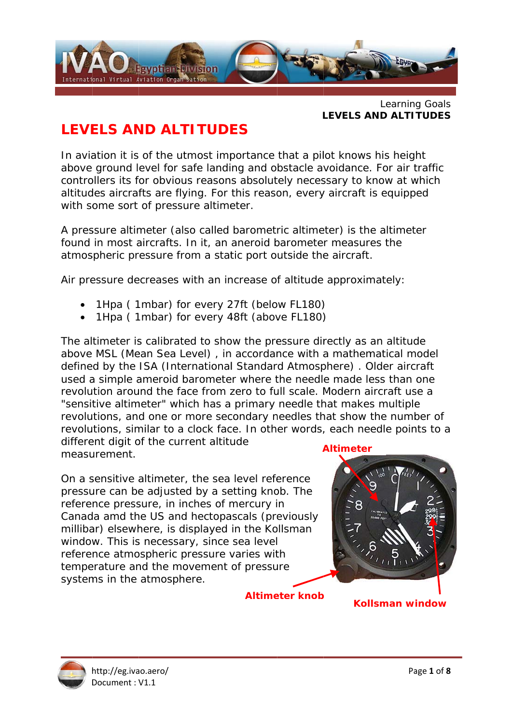

Learning Goals **LEVELS AND ALTITUDES** 

# **LEVELS AND ALTITUDES**

In aviation it is of the utmost importance that a pilot knows his height above ground level for safe landing and obstacle avoidance. For air traffic controllers its for obvious reasons absolutely necessary to know at which altitudes aircrafts are flying. For this reason, every aircraft is equipped with some sort of pressure altimeter.

A pressure altimeter (also called barometric altimeter) is the altimeter found in most aircrafts. In it, an aneroid barometer measures the atmospheric pressure from a static port outside the aircraft.

Air pressure decreases with an increase of altitude approximately:

- 1Hpa (1mbar) for every 27ft (below FL180)
- 1Hpa (1mbar) for every 48ft (above FL180)

The altimeter is calibrated to show the pressure directly as an altitude above MSL (Mean Sea Level), in accordance with a mathematical model defined by the ISA (International Standard Atmosphere). Older aircraft used a simple ameroid barometer where the needle made less than one revolution around the face from zero to full scale. Modern aircraft use a "sensitive altimeter" which has a primary needle that makes multiple revolutions, and one or more secondary needles that show the number of revolutions, similar to a clock face. In other words, each needle points to a different digit of the current altitude

measurement.

On a sensitive altimeter, the sea level reference pressure can be adjusted by a setting knob. The reference pressure, in inches of mercury in Canada amd the US and hectopascals (previously millibar) elsewhere, is displayed in the Kollsman window. This is necessary, since sea level reference atmospheric pressure varies with temperature and the movement of pressure systems in the atmosphere.

**Altimeter knob** 



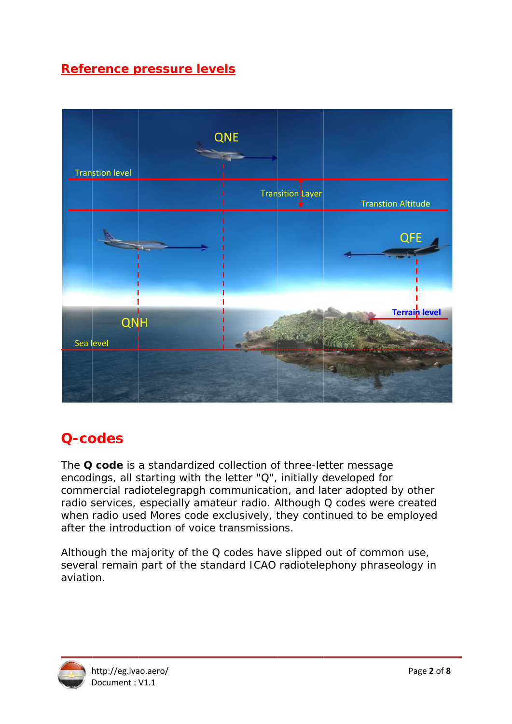## Reference pressure levels



# O-codes

The Q code is a standardized collection of three-letter message encodings, all starting with the letter "Q", initially developed for commercial radiotelegrapgh communication, and later adopted by other radio services, especially amateur radio. Although Q codes were created when radio used Mores code exclusively, they continued to be employed after the introduction of voice transmissions.

Although the majority of the Q codes have slipped out of common use, several remain part of the standard ICAO radiotelephony phraseology in aviation.

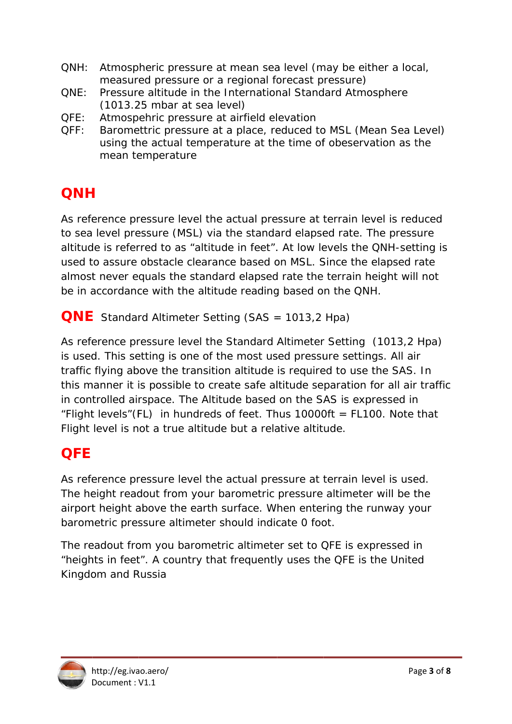- $ONH:$ Atmospheric pressure at mean sea level (may be either a local, measured pressure or a regional forecast pressure)
- $ONE:$ Pressure altitude in the International Standard Atmosphere  $(1013.25 \text{ mbar at sea level})$
- QFE: Atmospehric pressure at airfield elevation
- $OFF:$ Baromettric pressure at a place, reduced to MSL (Mean Sea Level) using the actual temperature at the time of obeservation as the mean temperature

# **ONH**

As reference pressure level the actual pressure at terrain level is reduced to sea level pressure (MSL) via the standard elapsed rate. The pressure altitude is referred to as "altitude in feet". At low levels the QNH-setting is used to assure obstacle clearance based on MSL. Since the elapsed rate almost never equals the standard elapsed rate the terrain height will not be in accordance with the altitude reading based on the QNH.

**QNE** Standard Altimeter Setting (SAS = 1013.2 Hpa)

As reference pressure level the Standard Altimeter Setting (1013,2 Hpa) is used. This setting is one of the most used pressure settings. All air traffic flying above the transition altitude is required to use the SAS. In this manner it is possible to create safe altitude separation for all air traffic in controlled airspace. The Altitude based on the SAS is expressed in "Flight levels" (FL) in hundreds of feet. Thus 10000ft = FL100. Note that Flight level is not a true altitude but a relative altitude.

# **OFE**

As reference pressure level the actual pressure at terrain level is used. The height readout from your barometric pressure altimeter will be the airport height above the earth surface. When entering the runway your barometric pressure altimeter should indicate 0 foot.

The readout from you barometric altimeter set to QFE is expressed in "heights in feet". A country that frequently uses the QFE is the United Kingdom and Russia

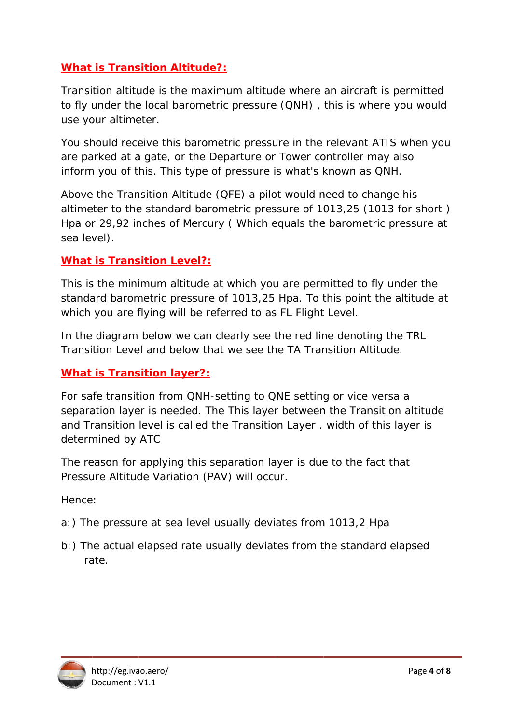## **What is Transition Altitude?:**

Transition altitude is the maximum altitude where an aircraft is permitted to fly under the local barometric pressure (QNH), this is where you would use your altimeter.

You should receive this barometric pressure in the relevant ATIS when you are parked at a gate, or the Departure or Tower controller may also inform you of this. This type of pressure is what's known as QNH.

Above the Transition Altitude (QFE) a pilot would need to change his altimeter to the standard barometric pressure of 1013,25 (1013 for short) Hpa or 29,92 inches of Mercury (Which equals the barometric pressure at sea level).

### **What is Transition Level?:**

This is the minimum altitude at which you are permitted to fly under the standard barometric pressure of 1013,25 Hpa. To this point the altitude at which you are flying will be referred to as FL Flight Level.

In the diagram below we can clearly see the red line denoting the TRL Transition Level and below that we see the TA Transition Altitude.

### **What is Transition laver?:**

For safe transition from QNH-setting to QNE setting or vice versa a separation layer is needed. The This layer between the Transition altitude and Transition level is called the Transition Layer. width of this layer is determined by ATC

The reason for applying this separation layer is due to the fact that Pressure Altitude Variation (PAV) will occur.

Hence:

- a:) The pressure at sea level usually deviates from 1013,2 Hpa
- b:) The actual elapsed rate usually deviates from the standard elapsed rate.

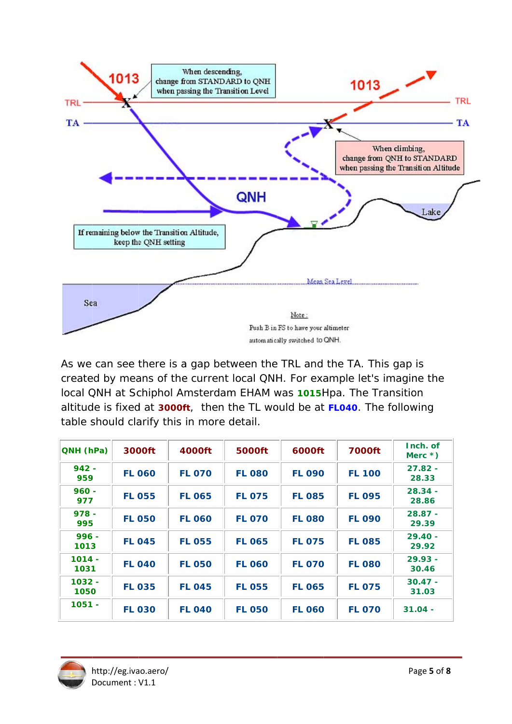

As we can see there is a gap between the TRL and the TA. This gap is created by means of the current local QNH. For example let's imagine the local QNH at Schiphol Amsterdam EHAM was 1015Hpa. The Transition altitude is fixed at 3000ft, then the TL would be at FL040. The following table should clarify this in more detail.

| QNH (hPa)        | 3000ft        | 4000ft        | 5000ft        | 6000ft        | <b>7000ft</b> | Inch. of<br>Merc $*$ ) |  |
|------------------|---------------|---------------|---------------|---------------|---------------|------------------------|--|
| $942 -$<br>959   | <b>FL 060</b> | <b>FL 070</b> | <b>FL 080</b> | <b>FL 090</b> | <b>FL 100</b> | $27.82 -$<br>28.33     |  |
| $960 -$<br>977   | <b>FL 055</b> | <b>FL 065</b> | <b>FL 075</b> | <b>FL 085</b> | <b>FL 095</b> | $28.34 -$<br>28.86     |  |
| $978 -$<br>995   | <b>FL 050</b> | <b>FL 060</b> | <b>FL 070</b> | <b>FL 080</b> | <b>FL 090</b> | $28.87 -$<br>29.39     |  |
| $996 -$<br>1013  | <b>FL 045</b> | <b>FL 055</b> | <b>FL 065</b> | <b>FL 075</b> | <b>FL 085</b> | $29.40 -$<br>29.92     |  |
| $1014 -$<br>1031 | <b>FL 040</b> | <b>FL 050</b> | <b>FL 060</b> | <b>FL 070</b> | <b>FL 080</b> | $29.93 -$<br>30.46     |  |
| $1032 -$<br>1050 | <b>FL 035</b> | <b>FL 045</b> | <b>FL 055</b> | <b>FL 065</b> | <b>FL 075</b> | $30.47 -$<br>31.03     |  |
| $1051 -$         | <b>FL 030</b> | <b>FL 040</b> | <b>FL 050</b> | <b>FL 060</b> | <b>FL 070</b> | $31.04 -$              |  |

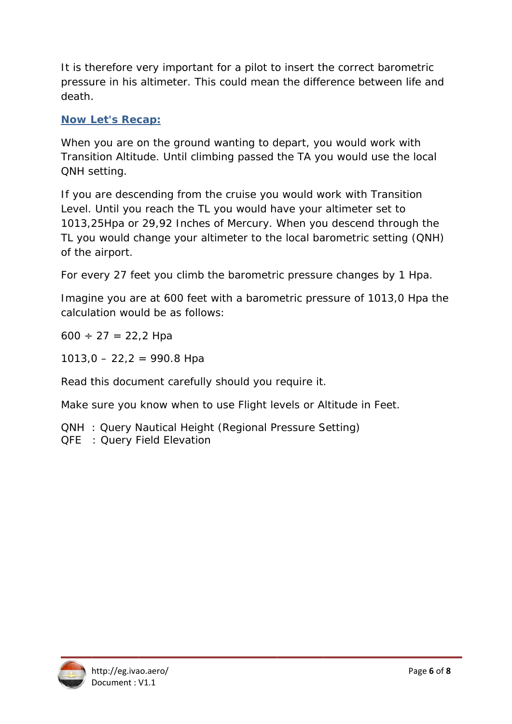It is therefore very important for a pilot to insert the correct barometric pressure in his altimeter. This could mean the difference between life and death.

### **Now Let's Recap:**

When you are on the ground wanting to depart, you would work with Transition Altitude. Until climbing passed the TA you would use the local QNH setting.

If you are descending from the cruise you would work with Transition Level. Until you reach the TL you would have your altimeter set to 1013,25Hpa or 29,92 Inches of Mercury. When you descend through the TL you would change your altimeter to the local barometric setting (QNH) of the airport.

For every 27 feet you climb the barometric pressure changes by 1 Hpa.

Imagine you are at 600 feet with a barometric pressure of 1013,0 Hpa the calculation would be as follows:

 $600 \div 27 = 22.2$  Hpa

 $1013,0 - 22,2 = 990.8$  Hpa

Read this document carefully should you require it.

Make sure you know when to use Flight levels or Altitude in Feet.

**QNH**: Query Nautical Height (Regional Pressure Setting)

QFE : Query Field Elevation

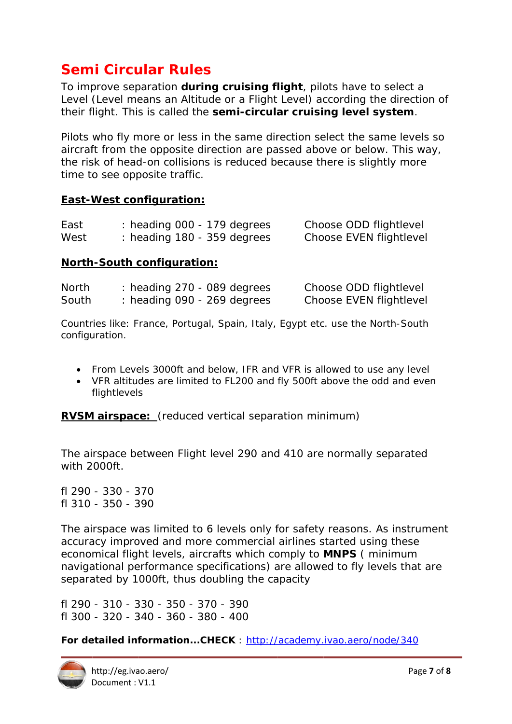# **Semi Circular Rules**

To improve separation during cruising flight, pilots have to select a Level (Level means an Altitude or a Flight Level) according the direction of their flight. This is called the semi-circular cruising level system.

Pilots who fly more or less in the same direction select the same levels so aircraft from the opposite direction are passed above or below. This way, the risk of head-on collisions is reduced because there is slightly more time to see opposite traffic.

### **East-West configuration:**

| East | heading 000 - 179 degrees     | Choose ODD flightlevel  |
|------|-------------------------------|-------------------------|
| West | : heading $180 - 359$ degrees | Choose EVEN flightlevel |

#### **North-South configuration:**

| <b>North</b> | $:$ heading 270 - 089 degrees | Choose ODD flightlevel  |
|--------------|-------------------------------|-------------------------|
| South        | $:$ heading 090 - 269 degrees | Choose EVEN flightlevel |

Countries like: France, Portugal, Spain, Italy, Egypt etc. use the North-South configuration.

- From Levels 3000ft and below. IFR and VFR is allowed to use any level
- VFR altitudes are limited to FL200 and fly 500ft above the odd and even flightlevels

**RVSM airspace:** (reduced vertical separation minimum)

The airspace between Flight level 290 and 410 are normally separated with 2000ft.

fl 290 - 330 - 370  $f1310 - 350 - 390$ 

The airspace was limited to 6 levels only for safety reasons. As instrument accuracy improved and more commercial airlines started using these economical flight levels, aircrafts which comply to **MNPS** (minimum navigational performance specifications) are allowed to fly levels that are separated by 1000ft, thus doubling the capacity

fl 290 - 310 - 330 - 350 - 370 - 390  $f1300 - 320 - 340 - 360 - 380 - 400$ 

For detailed information...CHECK: http://academy.ivao.aero/node/340